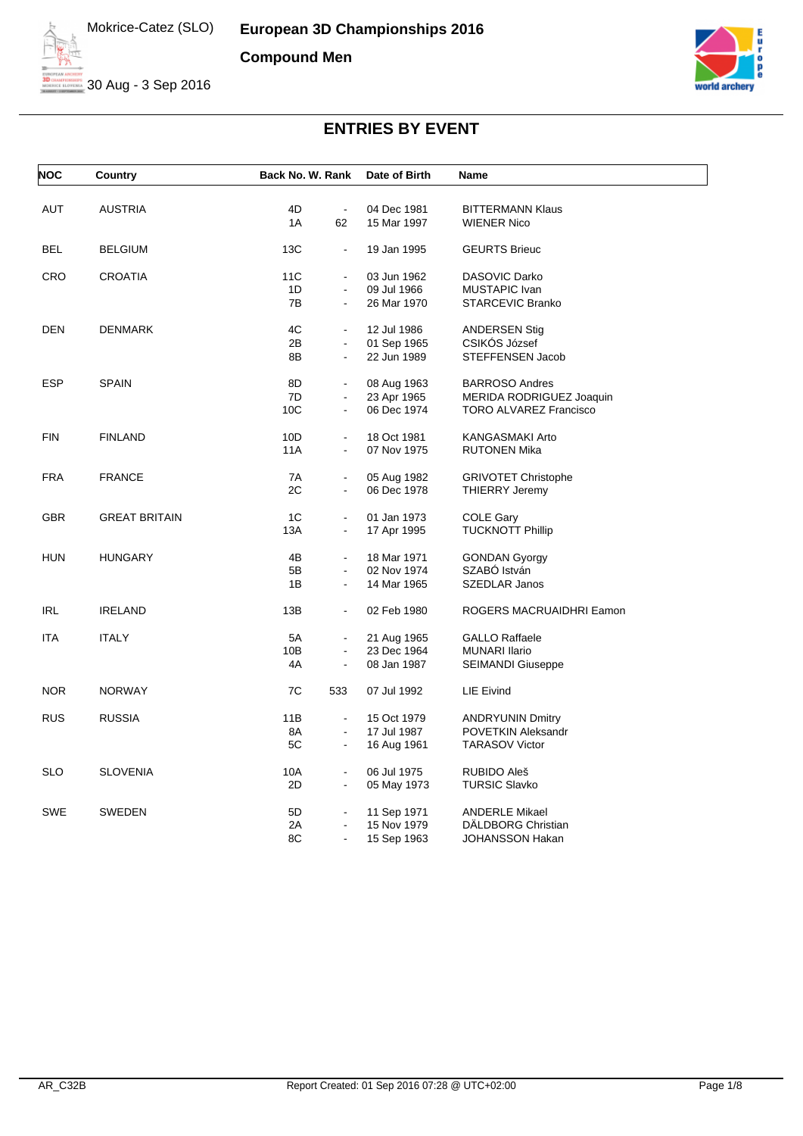**European 3D Championships 2016 Compound Men**



30 Aug - 3 Sep 2016



| <b>NOC</b> | <b>Country</b>       | Back No. W. Rank |                | Date of Birth | Name                          |
|------------|----------------------|------------------|----------------|---------------|-------------------------------|
|            |                      |                  |                |               |                               |
| <b>AUT</b> | <b>AUSTRIA</b>       | 4D               | $\blacksquare$ | 04 Dec 1981   | <b>BITTERMANN Klaus</b>       |
|            |                      | 1A               | 62             | 15 Mar 1997   | <b>WIENER Nico</b>            |
| <b>BEL</b> | <b>BELGIUM</b>       | 13C              | $\blacksquare$ | 19 Jan 1995   | <b>GEURTS Brieuc</b>          |
| <b>CRO</b> | <b>CROATIA</b>       | 11C              | ä,             | 03 Jun 1962   | DASOVIC Darko                 |
|            |                      | 1D               | $\blacksquare$ | 09 Jul 1966   | MUSTAPIC Ivan                 |
|            |                      | 7B               | $\blacksquare$ | 26 Mar 1970   | STARCEVIC Branko              |
| DEN        | DENMARK              | 4C               |                | 12 Jul 1986   | <b>ANDERSEN Stig</b>          |
|            |                      | 2B               | $\blacksquare$ | 01 Sep 1965   | CSIKOS József                 |
|            |                      | 8B               | $\blacksquare$ | 22 Jun 1989   | <b>STEFFENSEN Jacob</b>       |
|            |                      |                  |                |               |                               |
| <b>ESP</b> | <b>SPAIN</b>         | 8D               | $\blacksquare$ | 08 Aug 1963   | <b>BARROSO Andres</b>         |
|            |                      | 7D               | $\blacksquare$ | 23 Apr 1965   | MERIDA RODRIGUEZ Joaquin      |
|            |                      | 10C              | $\blacksquare$ | 06 Dec 1974   | <b>TORO ALVAREZ Francisco</b> |
| <b>FIN</b> | <b>FINLAND</b>       | 10D              | $\blacksquare$ | 18 Oct 1981   | <b>KANGASMAKI Arto</b>        |
|            |                      | 11A              | $\blacksquare$ | 07 Nov 1975   | <b>RUTONEN Mika</b>           |
|            |                      |                  |                |               |                               |
| <b>FRA</b> | <b>FRANCE</b>        | 7A               | $\blacksquare$ | 05 Aug 1982   | <b>GRIVOTET Christophe</b>    |
|            |                      | 2C               | $\blacksquare$ | 06 Dec 1978   | <b>THIERRY Jeremy</b>         |
| <b>GBR</b> | <b>GREAT BRITAIN</b> | 1C               | $\blacksquare$ | 01 Jan 1973   | <b>COLE Gary</b>              |
|            |                      | 13A              | $\blacksquare$ | 17 Apr 1995   | <b>TUCKNOTT Phillip</b>       |
|            |                      |                  |                |               |                               |
| <b>HUN</b> | <b>HUNGARY</b>       | 4B               | $\blacksquare$ | 18 Mar 1971   | <b>GONDAN Gyorgy</b>          |
|            |                      | 5B               | $\blacksquare$ | 02 Nov 1974   | SZABÓ István                  |
|            |                      | 1B               | $\blacksquare$ | 14 Mar 1965   | SZEDLAR Janos                 |
| <b>IRL</b> | <b>IRELAND</b>       | 13B              | $\blacksquare$ | 02 Feb 1980   | ROGERS MACRUAIDHRI Eamon      |
| <b>ITA</b> | <b>ITALY</b>         | 5A               | $\blacksquare$ | 21 Aug 1965   | <b>GALLO Raffaele</b>         |
|            |                      | 10B              | $\blacksquare$ | 23 Dec 1964   | <b>MUNARI Ilario</b>          |
|            |                      | 4A               | $\blacksquare$ | 08 Jan 1987   | <b>SEIMANDI Giuseppe</b>      |
| <b>NOR</b> | <b>NORWAY</b>        | 7C               | 533            | 07 Jul 1992   | LIE Eivind                    |
| <b>RUS</b> | <b>RUSSIA</b>        | 11B              | $\blacksquare$ | 15 Oct 1979   | <b>ANDRYUNIN Dmitry</b>       |
|            |                      | 8A               | $\blacksquare$ | 17 Jul 1987   | POVETKIN Aleksandr            |
|            |                      | 5C               | $\blacksquare$ | 16 Aug 1961   | <b>TARASOV Victor</b>         |
|            |                      |                  |                |               |                               |
| <b>SLO</b> | <b>SLOVENIA</b>      | 10A              | $\blacksquare$ | 06 Jul 1975   | RUBIDO Aleš                   |
|            |                      | 2D               | $\blacksquare$ | 05 May 1973   | <b>TURSIC Slavko</b>          |
| SWE        | <b>SWEDEN</b>        | 5D               | $\blacksquare$ | 11 Sep 1971   | <b>ANDERLE Mikael</b>         |
|            |                      | 2A               | $\blacksquare$ | 15 Nov 1979   | <b>DALDBORG Christian</b>     |
|            |                      | 8C               | $\blacksquare$ | 15 Sep 1963   | JOHANSSON Hakan               |
|            |                      |                  |                |               |                               |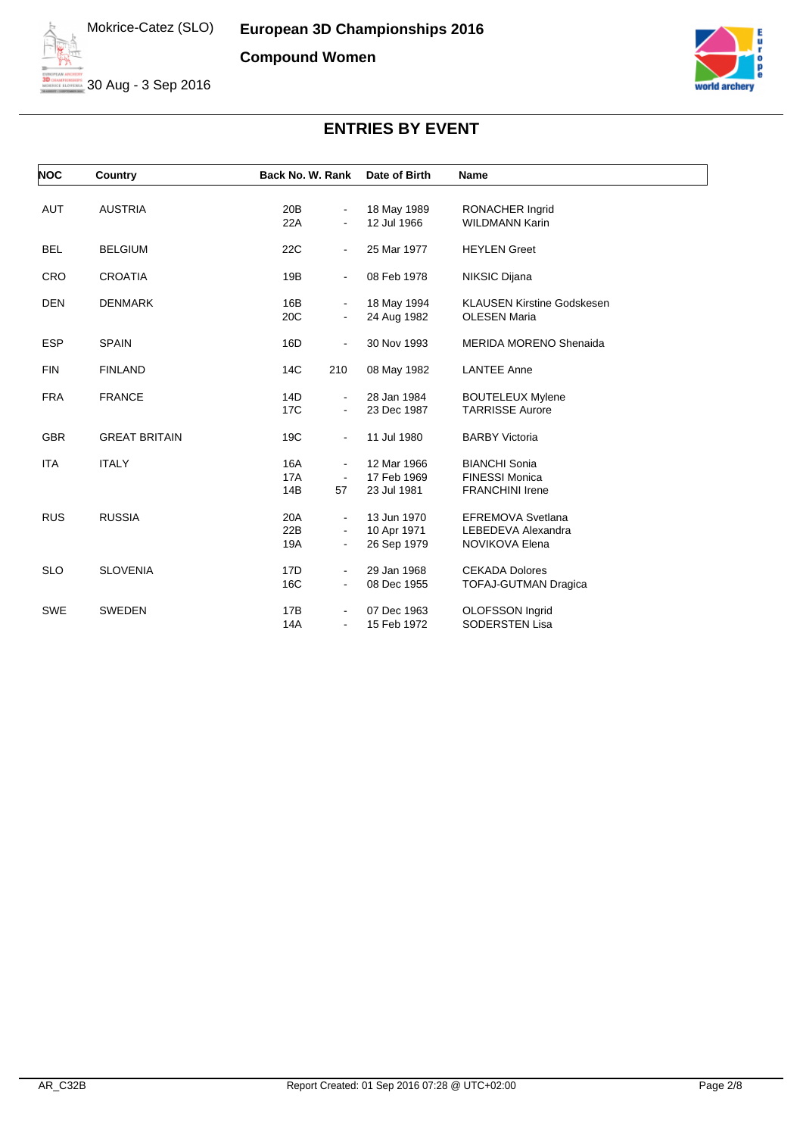

30 Aug - 3 Sep 2016



| <b>NOC</b> | Country              | Back No. W. Rank                                           | Date of Birth                             | Name                                                                    |
|------------|----------------------|------------------------------------------------------------|-------------------------------------------|-------------------------------------------------------------------------|
| <b>AUT</b> | <b>AUSTRIA</b>       | 20B<br>۰<br>22A<br>٠                                       | 18 May 1989<br>12 Jul 1966                | RONACHER Ingrid<br><b>WILDMANN Karin</b>                                |
| <b>BEL</b> | <b>BELGIUM</b>       | 22C<br>۰.                                                  | 25 Mar 1977                               | <b>HEYLEN</b> Greet                                                     |
| <b>CRO</b> | <b>CROATIA</b>       | 19B<br>Ξ.                                                  | 08 Feb 1978                               | NIKSIC Dijana                                                           |
| <b>DEN</b> | <b>DENMARK</b>       | 16B<br>۰.<br>20C<br>$\blacksquare$                         | 18 May 1994<br>24 Aug 1982                | <b>KLAUSEN Kirstine Godskesen</b><br><b>OLESEN Maria</b>                |
| <b>ESP</b> | <b>SPAIN</b>         | 16D<br>٠                                                   | 30 Nov 1993                               | <b>MERIDA MORENO Shenaida</b>                                           |
| <b>FIN</b> | <b>FINLAND</b>       | 14C<br>210                                                 | 08 May 1982                               | <b>LANTEE Anne</b>                                                      |
| <b>FRA</b> | <b>FRANCE</b>        | 14D<br>$\blacksquare$<br>17C<br>$\blacksquare$             | 28 Jan 1984<br>23 Dec 1987                | <b>BOUTELEUX Mylene</b><br><b>TARRISSE Aurore</b>                       |
| <b>GBR</b> | <b>GREAT BRITAIN</b> | 19C<br>$\blacksquare$                                      | 11 Jul 1980                               | <b>BARBY Victoria</b>                                                   |
| <b>ITA</b> | <b>ITALY</b>         | 16A<br>٠<br><b>17A</b><br>$\blacksquare$<br>14B<br>57      | 12 Mar 1966<br>17 Feb 1969<br>23 Jul 1981 | <b>BIANCHI Sonia</b><br><b>FINESSI Monica</b><br><b>FRANCHINI Irene</b> |
| <b>RUS</b> | <b>RUSSIA</b>        | 20A<br>22B<br>$\frac{1}{2}$<br>19A<br>$\frac{1}{2}$        | 13 Jun 1970<br>10 Apr 1971<br>26 Sep 1979 | <b>EFREMOVA Svetlana</b><br>LEBEDEVA Alexandra<br>NOVIKOVA Elena        |
| <b>SLO</b> | <b>SLOVENIA</b>      | 17 <sub>D</sub><br>$\blacksquare$<br>16C<br>$\blacksquare$ | 29 Jan 1968<br>08 Dec 1955                | <b>CEKADA Dolores</b><br><b>TOFAJ-GUTMAN Dragica</b>                    |
| <b>SWE</b> | SWEDEN               | 17B<br>14A<br>$\blacksquare$                               | 07 Dec 1963<br>15 Feb 1972                | OLOFSSON Ingrid<br><b>SODERSTEN Lisa</b>                                |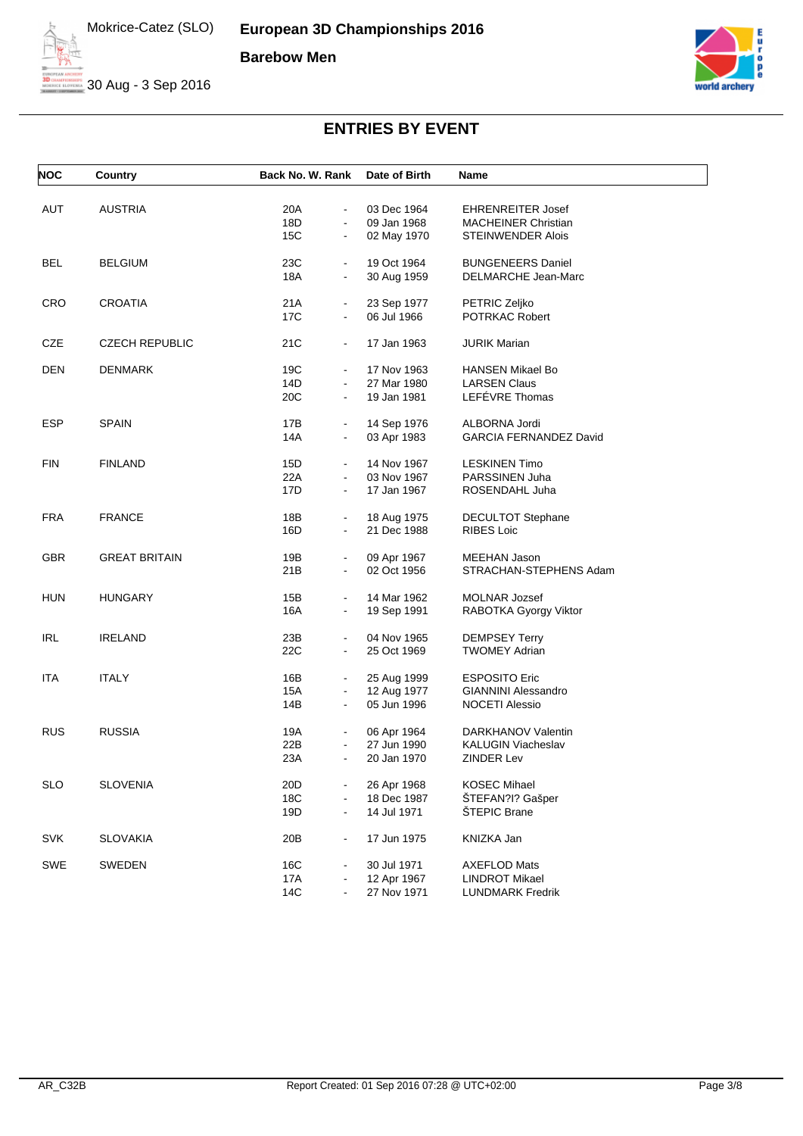

30 Aug - 3 Sep 2016



| <b>NOC</b> | Country               | Back No. W. Rank      | Date of Birth | Name                          |
|------------|-----------------------|-----------------------|---------------|-------------------------------|
|            |                       |                       |               |                               |
| AUT        | AUSTRIA               | 20A<br>$\blacksquare$ | 03 Dec 1964   | <b>EHRENREITER Josef</b>      |
|            |                       | 18D<br>$\blacksquare$ | 09 Jan 1968   | <b>MACHEINER Christian</b>    |
|            |                       | 15C<br>$\blacksquare$ | 02 May 1970   | STEINWENDER Alois             |
| BEL        | <b>BELGIUM</b>        | 23C<br>$\blacksquare$ | 19 Oct 1964   | <b>BUNGENEERS Daniel</b>      |
|            |                       | 18A<br>$\blacksquare$ | 30 Aug 1959   | DELMARCHE Jean-Marc           |
| <b>CRO</b> | <b>CROATIA</b>        | 21A<br>$\blacksquare$ | 23 Sep 1977   | PETRIC Zeljko                 |
|            |                       | 17C<br>$\blacksquare$ | 06 Jul 1966   | POTRKAC Robert                |
| CZE        | <b>CZECH REPUBLIC</b> | 21C<br>$\blacksquare$ | 17 Jan 1963   | <b>JURIK Marian</b>           |
| DEN        | <b>DENMARK</b>        | 19C                   | 17 Nov 1963   | <b>HANSEN Mikael Bo</b>       |
|            |                       | 14D<br>$\blacksquare$ | 27 Mar 1980   | <b>LARSEN Claus</b>           |
|            |                       | 20C<br>$\blacksquare$ | 19 Jan 1981   | LEFÉVRE Thomas                |
| <b>ESP</b> | <b>SPAIN</b>          | 17B<br>$\blacksquare$ | 14 Sep 1976   | ALBORNA Jordi                 |
|            |                       | 14A                   | 03 Apr 1983   | <b>GARCIA FERNANDEZ David</b> |
| <b>FIN</b> | <b>FINLAND</b>        | 15D<br>$\blacksquare$ | 14 Nov 1967   | <b>LESKINEN Timo</b>          |
|            |                       | 22A<br>$\blacksquare$ | 03 Nov 1967   | PARSSINEN Juha                |
|            |                       | 17D<br>$\blacksquare$ | 17 Jan 1967   | ROSENDAHL Juha                |
| FRA        | <b>FRANCE</b>         | 18B<br>$\blacksquare$ | 18 Aug 1975   | DECULTOT Stephane             |
|            |                       | 16D<br>$\blacksquare$ | 21 Dec 1988   | <b>RIBES Loic</b>             |
| <b>GBR</b> | <b>GREAT BRITAIN</b>  | 19B<br>$\blacksquare$ | 09 Apr 1967   | <b>MEEHAN Jason</b>           |
|            |                       | 21B<br>$\blacksquare$ | 02 Oct 1956   | STRACHAN-STEPHENS Adam        |
| <b>HUN</b> | <b>HUNGARY</b>        | 15B<br>$\blacksquare$ | 14 Mar 1962   | <b>MOLNAR Jozsef</b>          |
|            |                       | 16A<br>$\blacksquare$ | 19 Sep 1991   | RABOTKA Gyorgy Viktor         |
|            |                       |                       |               |                               |
| <b>IRL</b> | <b>IRELAND</b>        | 23B                   | 04 Nov 1965   | <b>DEMPSEY Terry</b>          |
|            |                       | 22C<br>$\blacksquare$ | 25 Oct 1969   | <b>TWOMEY Adrian</b>          |
| ITA        | <b>ITALY</b>          | 16B                   | 25 Aug 1999   | <b>ESPOSITO Eric</b>          |
|            |                       | 15A<br>$\blacksquare$ | 12 Aug 1977   | <b>GIANNINI Alessandro</b>    |
|            |                       | 14B<br>$\blacksquare$ | 05 Jun 1996   | <b>NOCETI Alessio</b>         |
| <b>RUS</b> | <b>RUSSIA</b>         | 19A<br>$\blacksquare$ | 06 Apr 1964   | DARKHANOV Valentin            |
|            |                       | 22B                   | 27 Jun 1990   | KALUGIN Viacheslav            |
|            |                       | 23A                   | 20 Jan 1970   | <b>ZINDER Lev</b>             |
| <b>SLO</b> | <b>SLOVENIA</b>       | 20D                   | 26 Apr 1968   | <b>KOSEC Mihael</b>           |
|            |                       | 18C                   | 18 Dec 1987   | ŠTEFAN?I? Gašper              |
|            |                       | 19D<br>$\blacksquare$ | 14 Jul 1971   | ŠTEPIC Brane                  |
| <b>SVK</b> | <b>SLOVAKIA</b>       | 20 <sub>B</sub>       | 17 Jun 1975   | KNIZKA Jan                    |
| <b>SWE</b> | <b>SWEDEN</b>         | 16C                   | 30 Jul 1971   | <b>AXEFLOD Mats</b>           |
|            |                       | 17A                   | 12 Apr 1967   | <b>LINDROT Mikael</b>         |
|            |                       | 14C                   | 27 Nov 1971   | <b>LUNDMARK Fredrik</b>       |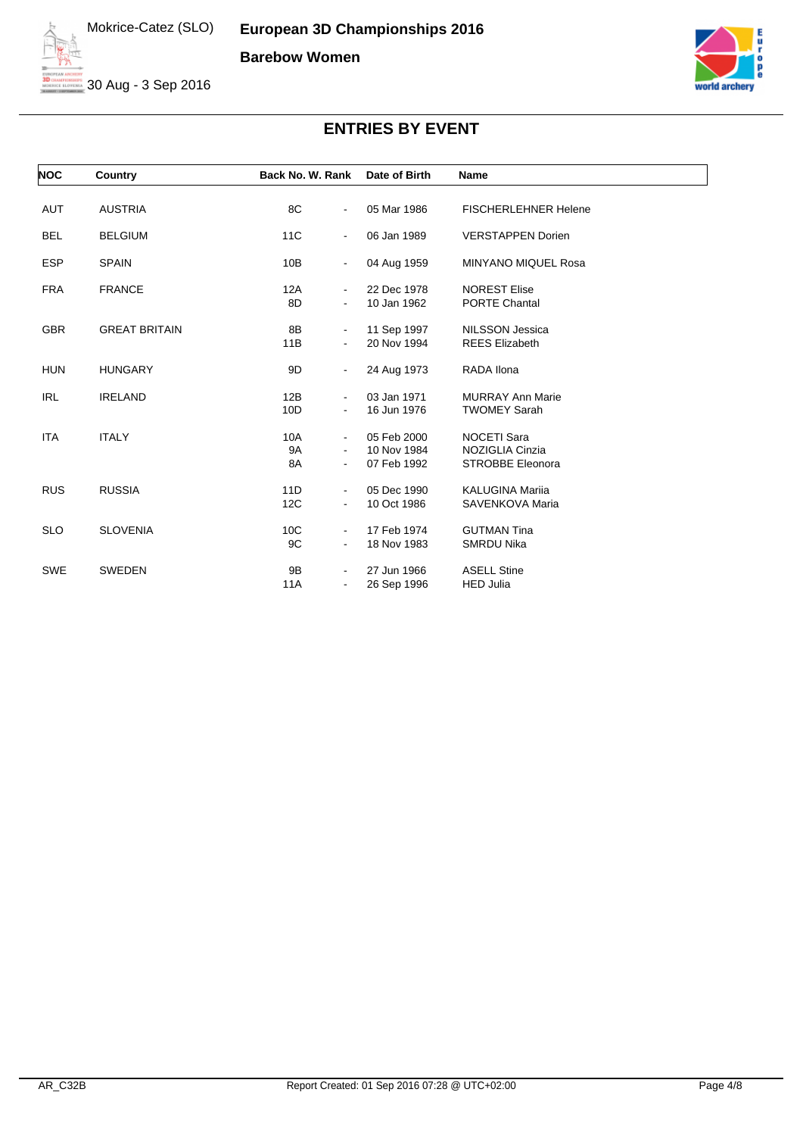

30 Aug - 3 Sep 2016



| <b>NOC</b> | Country              | Back No. W. Rank                               | Date of Birth                             | Name                                                             |
|------------|----------------------|------------------------------------------------|-------------------------------------------|------------------------------------------------------------------|
| <b>AUT</b> | <b>AUSTRIA</b>       | 8C<br>Ξ.                                       | 05 Mar 1986                               | <b>FISCHERLEHNER Helene</b>                                      |
| <b>BEL</b> | <b>BELGIUM</b>       | 11C<br>$\blacksquare$                          | 06 Jan 1989                               | <b>VERSTAPPEN Dorien</b>                                         |
| <b>ESP</b> | <b>SPAIN</b>         | 10B<br>$\frac{1}{2}$                           | 04 Aug 1959                               | <b>MINYANO MIQUEL Rosa</b>                                       |
| <b>FRA</b> | <b>FRANCE</b>        | 12A<br>$\blacksquare$<br>8D                    | 22 Dec 1978<br>10 Jan 1962                | <b>NOREST Elise</b><br><b>PORTE Chantal</b>                      |
| <b>GBR</b> | <b>GREAT BRITAIN</b> | 8B<br>۰                                        | 11 Sep 1997                               | <b>NILSSON Jessica</b>                                           |
|            |                      | 11B                                            | 20 Nov 1994                               | <b>REES Elizabeth</b>                                            |
| <b>HUN</b> | <b>HUNGARY</b>       | 9D<br>۰                                        | 24 Aug 1973                               | RADA Ilona                                                       |
| <b>IRL</b> | <b>IRELAND</b>       | 12B<br>۰.<br>10D                               | 03 Jan 1971<br>16 Jun 1976                | <b>MURRAY Ann Marie</b><br><b>TWOMEY Sarah</b>                   |
| <b>ITA</b> | <b>ITALY</b>         | 10A<br>٠<br>9A<br>8A<br>$\blacksquare$         | 05 Feb 2000<br>10 Nov 1984<br>07 Feb 1992 | <b>NOCETI Sara</b><br>NOZIGLIA Cinzia<br><b>STROBBE Eleonora</b> |
| <b>RUS</b> | <b>RUSSIA</b>        | 11D<br>$\blacksquare$                          | 05 Dec 1990                               | <b>KALUGINA Marija</b>                                           |
|            |                      | 12C<br>$\blacksquare$                          | 10 Oct 1986                               | SAVENKOVA Maria                                                  |
| <b>SLO</b> | <b>SLOVENIA</b>      | 10C<br>$\blacksquare$<br>9C<br>$\blacksquare$  | 17 Feb 1974<br>18 Nov 1983                | <b>GUTMAN Tina</b><br><b>SMRDU Nika</b>                          |
| <b>SWE</b> | <b>SWEDEN</b>        | 9Β<br>$\qquad \qquad \blacksquare$<br>11A<br>٠ | 27 Jun 1966<br>26 Sep 1996                | <b>ASELL Stine</b><br><b>HED Julia</b>                           |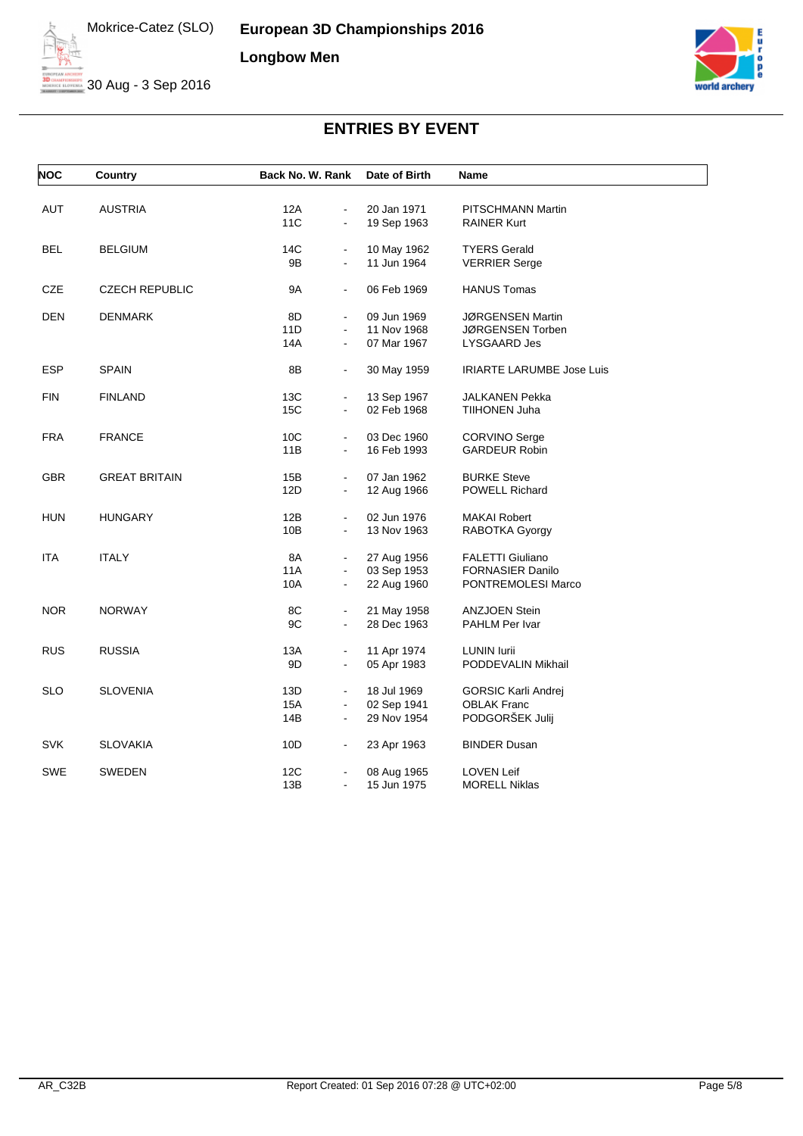

30 Aug - 3 Sep 2016



| <b>NOC</b> | Country               | Back No. W. Rank             | Date of Birth | Name                             |
|------------|-----------------------|------------------------------|---------------|----------------------------------|
|            |                       |                              |               |                                  |
| AUT        | <b>AUSTRIA</b>        | 12A<br>$\blacksquare$        | 20 Jan 1971   | PITSCHMANN Martin                |
|            |                       | <b>11C</b><br>$\blacksquare$ | 19 Sep 1963   | <b>RAINER Kurt</b>               |
| BEL        | BELGIUM               | 14C                          | 10 May 1962   | <b>TYERS Gerald</b>              |
|            |                       | 9Β<br>$\blacksquare$         | 11 Jun 1964   | <b>VERRIER Serge</b>             |
| CZE        | <b>CZECH REPUBLIC</b> | 9A<br>$\blacksquare$         | 06 Feb 1969   | <b>HANUS Tomas</b>               |
| DEN        | DENMARK               | 8D                           | 09 Jun 1969   | JØRGENSEN Martin                 |
|            |                       | 11D                          | 11 Nov 1968   | JØRGENSEN Torben                 |
|            |                       | 14A                          | 07 Mar 1967   | LYSGAARD Jes                     |
| <b>ESP</b> | <b>SPAIN</b>          | 8B<br>$\blacksquare$         | 30 May 1959   | <b>IRIARTE LARUMBE Jose Luis</b> |
| <b>FIN</b> | FINLAND               | 13C                          | 13 Sep 1967   | JALKANEN Pekka                   |
|            |                       | 15C                          | 02 Feb 1968   | TIIHONEN Juha                    |
| <b>FRA</b> | <b>FRANCE</b>         | 10 <sub>C</sub>              | 03 Dec 1960   | <b>CORVINO Serge</b>             |
|            |                       | 11B<br>$\blacksquare$        | 16 Feb 1993   | <b>GARDEUR Robin</b>             |
| <b>GBR</b> | <b>GREAT BRITAIN</b>  | 15B<br>$\blacksquare$        | 07 Jan 1962   | <b>BURKE Steve</b>               |
|            |                       | 12D<br>$\blacksquare$        | 12 Aug 1966   | <b>POWELL Richard</b>            |
| <b>HUN</b> | <b>HUNGARY</b>        | 12B                          | 02 Jun 1976   | <b>MAKAI Robert</b>              |
|            |                       | 10B<br>$\blacksquare$        | 13 Nov 1963   | RABOTKA Gyorgy                   |
| <b>ITA</b> | <b>ITALY</b>          | 8A<br>$\blacksquare$         | 27 Aug 1956   | <b>FALETTI Giuliano</b>          |
|            |                       | 11A                          | 03 Sep 1953   | <b>FORNASIER Danilo</b>          |
|            |                       | 10A<br>$\blacksquare$        | 22 Aug 1960   | PONTREMOLESI Marco               |
| <b>NOR</b> | <b>NORWAY</b>         | 8C                           | 21 May 1958   | <b>ANZJOEN Stein</b>             |
|            |                       | 9C<br>$\blacksquare$         | 28 Dec 1963   | PAHLM Per Ivar                   |
| <b>RUS</b> | RUSSIA                | 13A                          | 11 Apr 1974   | <b>LUNIN lurii</b>               |
|            |                       | 9D<br>$\blacksquare$         | 05 Apr 1983   | PODDEVALIN Mikhail               |
| <b>SLO</b> | SLOVENIA              | 13D<br>$\blacksquare$        | 18 Jul 1969   | <b>GORSIC Karli Andrej</b>       |
|            |                       | 15A<br>$\blacksquare$        | 02 Sep 1941   | <b>OBLAK Franc</b>               |
|            |                       | 14B                          | 29 Nov 1954   | PODGORŠEK Julij                  |
| <b>SVK</b> | <b>SLOVAKIA</b>       | 10D<br>$\blacksquare$        | 23 Apr 1963   | <b>BINDER Dusan</b>              |
| SWE        | SWEDEN                | 12C                          | 08 Aug 1965   | <b>LOVEN Leif</b>                |
|            |                       | 13B                          | 15 Jun 1975   | <b>MORELL Niklas</b>             |
|            |                       |                              |               |                                  |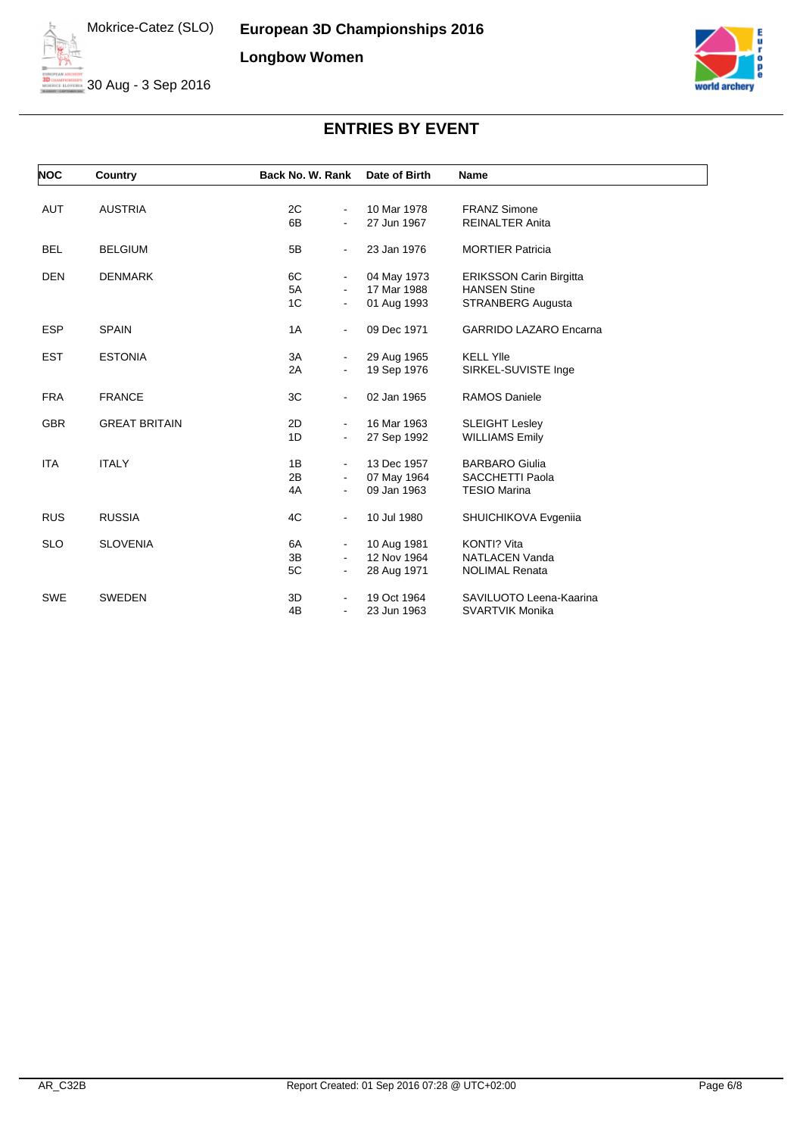**European 3D Championships 2016 Longbow Women**



30 Aug - 3 Sep 2016



| <b>NOC</b> | Country              | Back No. W. Rank                 | Date of Birth | <b>Name</b>                    |
|------------|----------------------|----------------------------------|---------------|--------------------------------|
|            |                      |                                  |               |                                |
| <b>AUT</b> | <b>AUSTRIA</b>       | 2C<br>$\blacksquare$             | 10 Mar 1978   | <b>FRANZ Simone</b>            |
|            |                      | 6B<br>$\blacksquare$             | 27 Jun 1967   | <b>REINALTER Anita</b>         |
| <b>BEL</b> | <b>BELGIUM</b>       | 5B<br>$\blacksquare$             | 23 Jan 1976   | <b>MORTIER Patricia</b>        |
| <b>DEN</b> | <b>DENMARK</b>       | 6C<br>$\blacksquare$             | 04 May 1973   | <b>ERIKSSON Carin Birgitta</b> |
|            |                      | 5A<br>$\blacksquare$             | 17 Mar 1988   | <b>HANSEN Stine</b>            |
|            |                      | 1 <sup>C</sup><br>$\blacksquare$ | 01 Aug 1993   | STRANBERG Augusta              |
| <b>ESP</b> | <b>SPAIN</b>         | 1A<br>$\blacksquare$             | 09 Dec 1971   | <b>GARRIDO LAZARO Encarna</b>  |
| <b>EST</b> | <b>ESTONIA</b>       | 3A<br>$\blacksquare$             | 29 Aug 1965   | <b>KELL Ylle</b>               |
|            |                      | 2A<br>$\blacksquare$             | 19 Sep 1976   | SIRKEL-SUVISTE Inge            |
| <b>FRA</b> | <b>FRANCE</b>        | 3C<br>$\blacksquare$             | 02 Jan 1965   | <b>RAMOS Daniele</b>           |
| <b>GBR</b> | <b>GREAT BRITAIN</b> | 2D<br>$\blacksquare$             | 16 Mar 1963   | <b>SLEIGHT Lesley</b>          |
|            |                      | 1D<br>$\blacksquare$             | 27 Sep 1992   | <b>WILLIAMS Emily</b>          |
| <b>ITA</b> | <b>ITALY</b>         | 1B<br>$\blacksquare$             | 13 Dec 1957   | <b>BARBARO Giulia</b>          |
|            |                      | 2B<br>$\blacksquare$             | 07 May 1964   | SACCHETTI Paola                |
|            |                      | 4A<br>$\blacksquare$             | 09 Jan 1963   | <b>TESIO Marina</b>            |
| <b>RUS</b> | <b>RUSSIA</b>        | 4C<br>$\blacksquare$             | 10 Jul 1980   | SHUICHIKOVA Evgenija           |
| <b>SLO</b> | <b>SLOVENIA</b>      | 6A<br>$\blacksquare$             | 10 Aug 1981   | KONTI? Vita                    |
|            |                      | 3B<br>$\blacksquare$             | 12 Nov 1964   | <b>NATLACEN Vanda</b>          |
|            |                      | 5C<br>$\blacksquare$             | 28 Aug 1971   | <b>NOLIMAL Renata</b>          |
| <b>SWE</b> | <b>SWEDEN</b>        | 3D<br>$\blacksquare$             | 19 Oct 1964   | SAVILUOTO Leena-Kaarina        |
|            |                      | 4B<br>$\blacksquare$             | 23 Jun 1963   | <b>SVARTVIK Monika</b>         |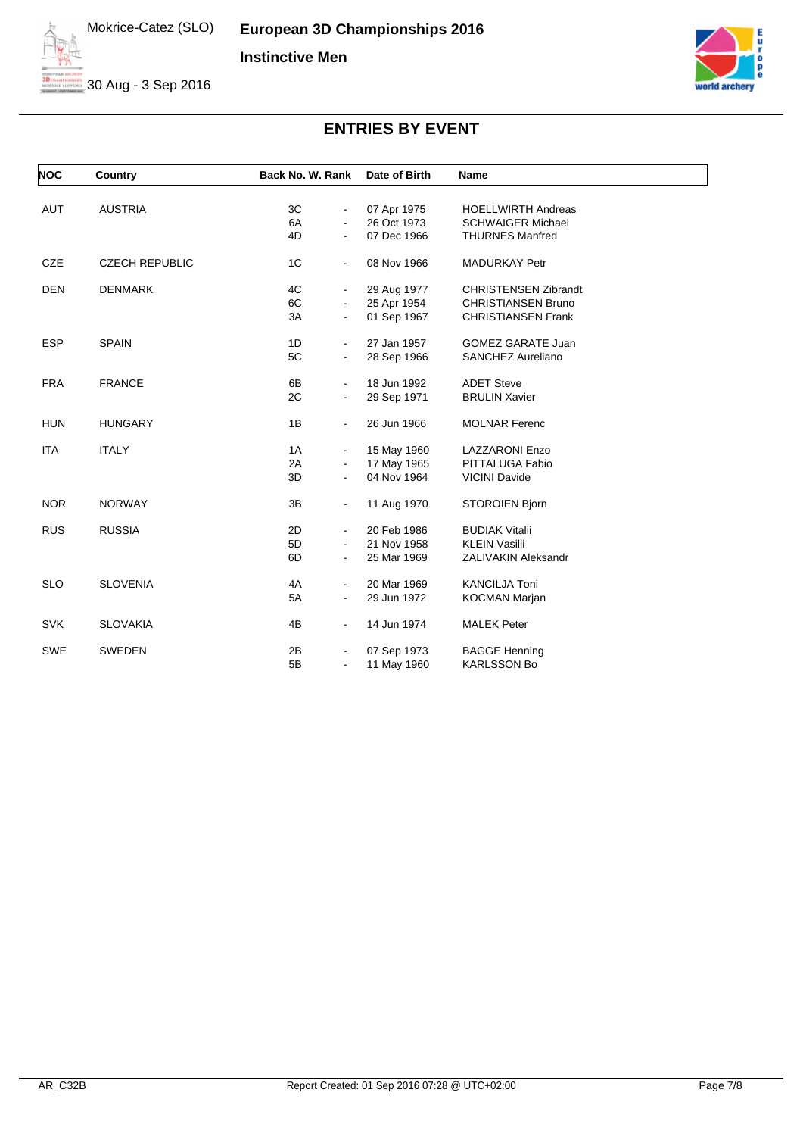

30 Aug - 3 Sep 2016



| <b>NOC</b> | Country               | Back No. W. Rank                 | Date of Birth | <b>Name</b>                 |
|------------|-----------------------|----------------------------------|---------------|-----------------------------|
|            |                       |                                  |               |                             |
| <b>AUT</b> | <b>AUSTRIA</b>        | 3C<br>$\blacksquare$             | 07 Apr 1975   | <b>HOELLWIRTH Andreas</b>   |
|            |                       | 6A<br>$\blacksquare$             | 26 Oct 1973   | <b>SCHWAIGER Michael</b>    |
|            |                       | 4D<br>$\blacksquare$             | 07 Dec 1966   | <b>THURNES Manfred</b>      |
| <b>CZE</b> | <b>CZECH REPUBLIC</b> | 1 <sup>C</sup><br>$\blacksquare$ | 08 Nov 1966   | <b>MADURKAY Petr</b>        |
| <b>DEN</b> | <b>DENMARK</b>        | 4C<br>$\blacksquare$             | 29 Aug 1977   | <b>CHRISTENSEN Zibrandt</b> |
|            |                       | 6C<br>$\blacksquare$             | 25 Apr 1954   | <b>CHRISTIANSEN Bruno</b>   |
|            |                       | 3A<br>$\blacksquare$             | 01 Sep 1967   | <b>CHRISTIANSEN Frank</b>   |
| <b>ESP</b> | <b>SPAIN</b>          | 1D<br>$\blacksquare$             | 27 Jan 1957   | <b>GOMEZ GARATE Juan</b>    |
|            |                       | 5C<br>$\blacksquare$             | 28 Sep 1966   | SANCHEZ Aureliano           |
| <b>FRA</b> | <b>FRANCE</b>         | 6B<br>$\blacksquare$             | 18 Jun 1992   | <b>ADET Steve</b>           |
|            |                       | 2C<br>$\blacksquare$             | 29 Sep 1971   | <b>BRULIN Xavier</b>        |
| <b>HUN</b> | <b>HUNGARY</b>        | 1B<br>$\blacksquare$             | 26 Jun 1966   | <b>MOLNAR Ferenc</b>        |
| <b>ITA</b> | <b>ITALY</b>          | 1A<br>$\blacksquare$             | 15 May 1960   | <b>LAZZARONI Enzo</b>       |
|            |                       | 2A<br>$\blacksquare$             | 17 May 1965   | PITTALUGA Fabio             |
|            |                       | 3D<br>$\blacksquare$             | 04 Nov 1964   | <b>VICINI Davide</b>        |
| <b>NOR</b> | <b>NORWAY</b>         | 3B<br>$\blacksquare$             | 11 Aug 1970   | <b>STOROIEN Bjorn</b>       |
| <b>RUS</b> | <b>RUSSIA</b>         | 2D                               | 20 Feb 1986   | <b>BUDIAK Vitalii</b>       |
|            |                       | 5D<br>$\blacksquare$             | 21 Nov 1958   | <b>KLEIN Vasilii</b>        |
|            |                       | 6D                               | 25 Mar 1969   | ZALIVAKIN Aleksandr         |
| <b>SLO</b> | <b>SLOVENIA</b>       | 4A<br>$\blacksquare$             | 20 Mar 1969   | <b>KANCILJA Toni</b>        |
|            |                       | 5A                               | 29 Jun 1972   | <b>KOCMAN Marjan</b>        |
| <b>SVK</b> | <b>SLOVAKIA</b>       | 4B<br>$\blacksquare$             | 14 Jun 1974   | <b>MALEK Peter</b>          |
| <b>SWE</b> | SWEDEN                | 2B<br>$\blacksquare$             | 07 Sep 1973   | <b>BAGGE Henning</b>        |
|            |                       | 5B<br>$\blacksquare$             | 11 May 1960   | <b>KARLSSON Bo</b>          |